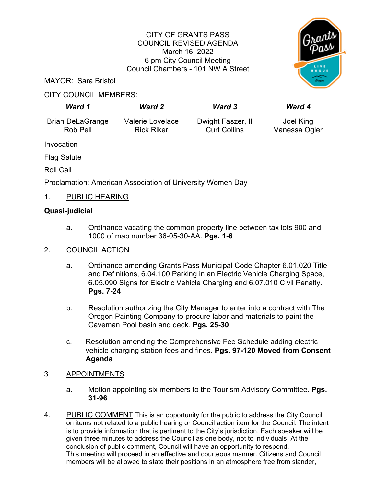#### CITY OF GRANTS PASS COUNCIL REVISED AGENDA March 16, 2022 6 pm City Council Meeting Council Chambers - 101 NW A Street



MAYOR: Sara Bristol

# CITY COUNCIL MEMBERS:

| Ward 1                  | <b>Ward 2</b>     | <b>Ward 3</b>       | <b>Ward 4</b> |
|-------------------------|-------------------|---------------------|---------------|
| <b>Brian DeLaGrange</b> | Valerie Lovelace  | Dwight Faszer, II   | Joel King     |
| Rob Pell                | <b>Rick Riker</b> | <b>Curt Collins</b> | Vanessa Ogier |

Invocation

Flag Salute

Roll Call

Proclamation: American Association of University Women Day

# 1. PUBLIC HEARING

# **Quasi-judicial**

a. Ordinance vacating the common property line between tax lots 900 and 1000 of map number 36-05-30-AA. **Pgs. 1-6**

# 2. COUNCIL ACTION

- a. Ordinance amending Grants Pass Municipal Code Chapter 6.01.020 Title and Definitions, 6.04.100 Parking in an Electric Vehicle Charging Space, 6.05.090 Signs for Electric Vehicle Charging and 6.07.010 Civil Penalty. **Pgs. 7-24**
- b. Resolution authorizing the City Manager to enter into a contract with The Oregon Painting Company to procure labor and materials to paint the Caveman Pool basin and deck. **Pgs. 25-30**
- c. Resolution amending the Comprehensive Fee Schedule adding electric vehicle charging station fees and fines. **Pgs. 97-120 Moved from Consent Agenda**

# 3. APPOINTMENTS

- a. Motion appointing six members to the Tourism Advisory Committee. **Pgs. 31-96**
- 4. PUBLIC COMMENT This is an opportunity for the public to address the City Council on items not related to a public hearing or Council action item for the Council. The intent is to provide information that is pertinent to the City's jurisdiction. Each speaker will be given three minutes to address the Council as one body, not to individuals. At the conclusion of public comment, Council will have an opportunity to respond. This meeting will proceed in an effective and courteous manner. Citizens and Council members will be allowed to state their positions in an atmosphere free from slander,